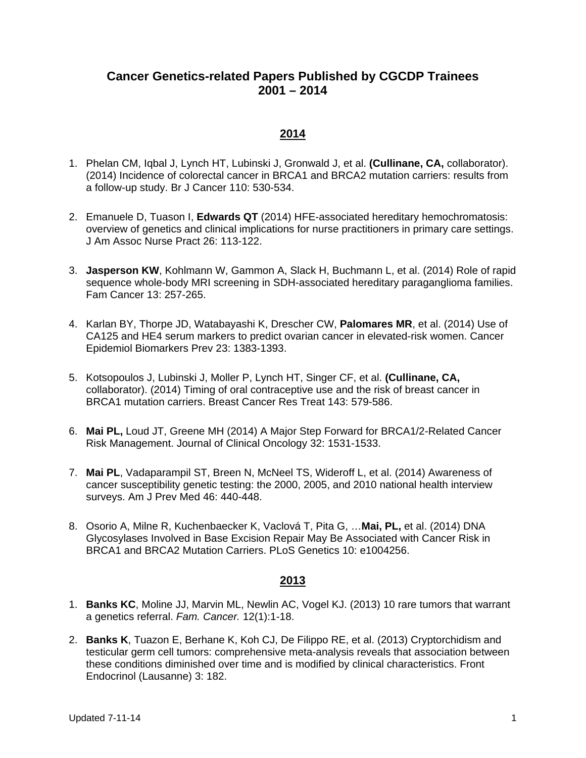# **Cancer Genetics-related Papers Published by CGCDP Trainees 2001 – 2014**

### **2014**

- 1. Phelan CM, Iqbal J, Lynch HT, Lubinski J, Gronwald J, et al. **(Cullinane, CA,** collaborator). (2014) Incidence of colorectal cancer in BRCA1 and BRCA2 mutation carriers: results from a follow-up study. Br J Cancer 110: 530-534.
- 2. Emanuele D, Tuason I, **Edwards QT** (2014) HFE-associated hereditary hemochromatosis: overview of genetics and clinical implications for nurse practitioners in primary care settings. J Am Assoc Nurse Pract 26: 113-122.
- 3. **Jasperson KW**, Kohlmann W, Gammon A, Slack H, Buchmann L, et al. (2014) Role of rapid sequence whole-body MRI screening in SDH-associated hereditary paraganglioma families. Fam Cancer 13: 257-265.
- 4. Karlan BY, Thorpe JD, Watabayashi K, Drescher CW, **Palomares MR**, et al. (2014) Use of CA125 and HE4 serum markers to predict ovarian cancer in elevated-risk women. Cancer Epidemiol Biomarkers Prev 23: 1383-1393.
- 5. Kotsopoulos J, Lubinski J, Moller P, Lynch HT, Singer CF, et al. **(Cullinane, CA,**  collaborator). (2014) Timing of oral contraceptive use and the risk of breast cancer in BRCA1 mutation carriers. Breast Cancer Res Treat 143: 579-586.
- 6. **Mai PL,** Loud JT, Greene MH (2014) A Major Step Forward for BRCA1/2-Related Cancer Risk Management. Journal of Clinical Oncology 32: 1531-1533.
- 7. **Mai PL**, Vadaparampil ST, Breen N, McNeel TS, Wideroff L, et al. (2014) Awareness of cancer susceptibility genetic testing: the 2000, 2005, and 2010 national health interview surveys. Am J Prev Med 46: 440-448.
- 8. Osorio A, Milne R, Kuchenbaecker K, Vaclová T, Pita G, …**Mai, PL,** et al. (2014) DNA Glycosylases Involved in Base Excision Repair May Be Associated with Cancer Risk in BRCA1 and BRCA2 Mutation Carriers. PLoS Genetics 10: e1004256.

- 1. **Banks KC**, Moline JJ, Marvin ML, Newlin AC, Vogel KJ. (2013) 10 rare tumors that warrant a genetics referral. *Fam. Cancer.* 12(1):1-18.
- 2. **Banks K**, Tuazon E, Berhane K, Koh CJ, De Filippo RE, et al. (2013) Cryptorchidism and testicular germ cell tumors: comprehensive meta-analysis reveals that association between these conditions diminished over time and is modified by clinical characteristics. Front Endocrinol (Lausanne) 3: 182.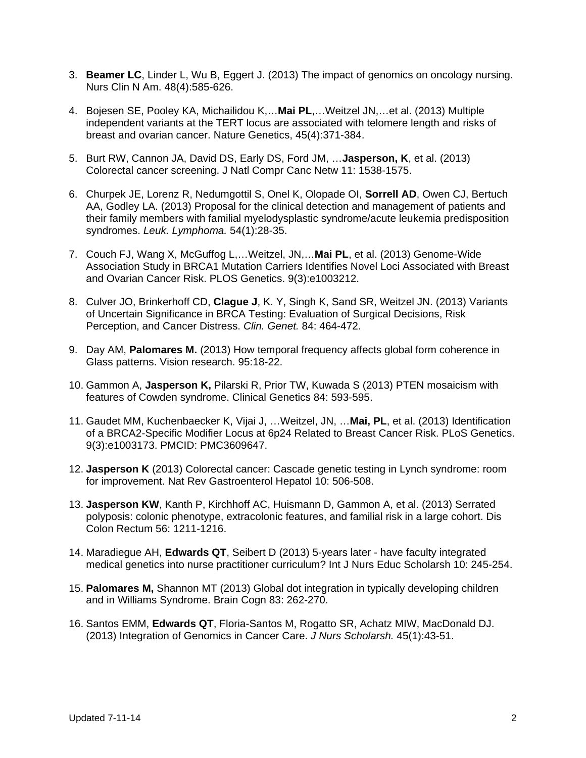- 3. **Beamer LC**, Linder L, Wu B, Eggert J. (2013) The impact of genomics on oncology nursing. Nurs Clin N Am. 48(4):585-626.
- 4. Bojesen SE, Pooley KA, Michailidou K,…**Mai PL**,…Weitzel JN,…et al. (2013) Multiple independent variants at the TERT locus are associated with telomere length and risks of breast and ovarian cancer. Nature Genetics, 45(4):371-384.
- 5. Burt RW, Cannon JA, David DS, Early DS, Ford JM, …**Jasperson, K**, et al. (2013) Colorectal cancer screening. J Natl Compr Canc Netw 11: 1538-1575.
- 6. Churpek JE, Lorenz R, Nedumgottil S, Onel K, Olopade OI, **Sorrell AD**, Owen CJ, Bertuch AA, Godley LA. (2013) Proposal for the clinical detection and management of patients and their family members with familial myelodysplastic syndrome/acute leukemia predisposition syndromes. *Leuk. Lymphoma.* 54(1):28-35.
- 7. Couch FJ, Wang X, McGuffog L,…Weitzel, JN,…**Mai PL**, et al. (2013) Genome-Wide Association Study in BRCA1 Mutation Carriers Identifies Novel Loci Associated with Breast and Ovarian Cancer Risk. PLOS Genetics. 9(3):e1003212.
- 8. Culver JO, Brinkerhoff CD, **Clague J**, K. Y, Singh K, Sand SR, Weitzel JN. (2013) Variants of Uncertain Significance in BRCA Testing: Evaluation of Surgical Decisions, Risk Perception, and Cancer Distress. *Clin. Genet.* 84: 464-472.
- 9. Day AM, **Palomares M.** (2013) How temporal frequency affects global form coherence in Glass patterns. Vision research. 95:18-22.
- 10. Gammon A, **Jasperson K,** Pilarski R, Prior TW, Kuwada S (2013) PTEN mosaicism with features of Cowden syndrome. Clinical Genetics 84: 593-595.
- 11. Gaudet MM, Kuchenbaecker K, Vijai J, …Weitzel, JN, …**Mai, PL**, et al. (2013) Identification of a BRCA2-Specific Modifier Locus at 6p24 Related to Breast Cancer Risk. PLoS Genetics. 9(3):e1003173. PMCID: PMC3609647.
- 12. **Jasperson K** (2013) Colorectal cancer: Cascade genetic testing in Lynch syndrome: room for improvement. Nat Rev Gastroenterol Hepatol 10: 506-508.
- 13. **Jasperson KW**, Kanth P, Kirchhoff AC, Huismann D, Gammon A, et al. (2013) Serrated polyposis: colonic phenotype, extracolonic features, and familial risk in a large cohort. Dis Colon Rectum 56: 1211-1216.
- 14. Maradiegue AH, **Edwards QT**, Seibert D (2013) 5-years later have faculty integrated medical genetics into nurse practitioner curriculum? Int J Nurs Educ Scholarsh 10: 245-254.
- 15. **Palomares M,** Shannon MT (2013) Global dot integration in typically developing children and in Williams Syndrome. Brain Cogn 83: 262-270.
- 16. Santos EMM, **Edwards QT**, Floria-Santos M, Rogatto SR, Achatz MIW, MacDonald DJ. (2013) Integration of Genomics in Cancer Care. *J Nurs Scholarsh.* 45(1):43-51.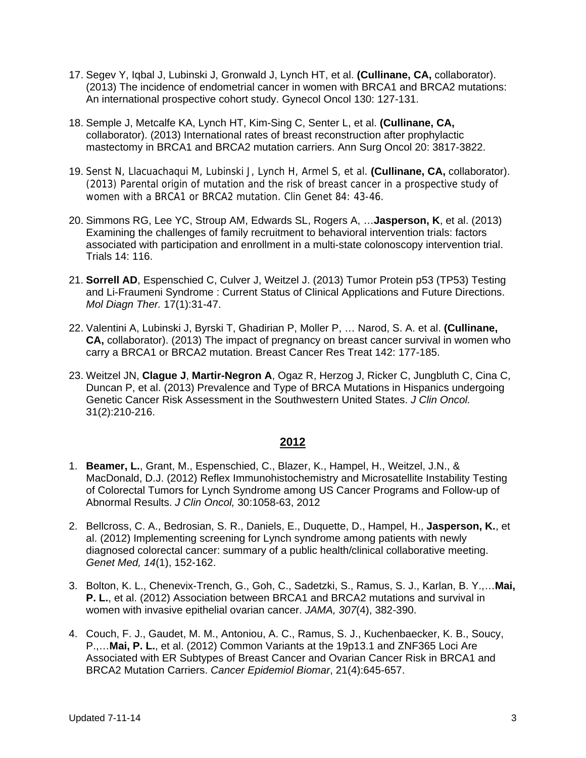- 17. Segev Y, Iqbal J, Lubinski J, Gronwald J, Lynch HT, et al. **(Cullinane, CA,** collaborator). (2013) The incidence of endometrial cancer in women with BRCA1 and BRCA2 mutations: An international prospective cohort study. Gynecol Oncol 130: 127-131.
- 18. Semple J, Metcalfe KA, Lynch HT, Kim-Sing C, Senter L, et al. **(Cullinane, CA,**  collaborator). (2013) International rates of breast reconstruction after prophylactic mastectomy in BRCA1 and BRCA2 mutation carriers. Ann Surg Oncol 20: 3817-3822.
- 19. Senst N, Llacuachaqui M, Lubinski J, Lynch H, Armel S, et al. **(Cullinane, CA,** collaborator). (2013) Parental origin of mutation and the risk of breast cancer in a prospective study of women with a BRCA1 or BRCA2 mutation. Clin Genet 84: 43-46.
- 20. Simmons RG, Lee YC, Stroup AM, Edwards SL, Rogers A, …**Jasperson, K**, et al. (2013) Examining the challenges of family recruitment to behavioral intervention trials: factors associated with participation and enrollment in a multi-state colonoscopy intervention trial. Trials 14: 116.
- 21. **Sorrell AD**, Espenschied C, Culver J, Weitzel J. (2013) Tumor Protein p53 (TP53) Testing and Li-Fraumeni Syndrome : Current Status of Clinical Applications and Future Directions. *Mol Diagn Ther.* 17(1):31-47.
- 22. Valentini A, Lubinski J, Byrski T, Ghadirian P, Moller P, … Narod, S. A. et al. **(Cullinane, CA,** collaborator). (2013) The impact of pregnancy on breast cancer survival in women who carry a BRCA1 or BRCA2 mutation. Breast Cancer Res Treat 142: 177-185.
- 23. Weitzel JN, **Clague J**, **Martir-Negron A**, Ogaz R, Herzog J, Ricker C, Jungbluth C, Cina C, Duncan P, et al. (2013) Prevalence and Type of BRCA Mutations in Hispanics undergoing Genetic Cancer Risk Assessment in the Southwestern United States. *J Clin Oncol.* 31(2):210-216.

- 1. **Beamer, L.**, Grant, M., Espenschied, C., Blazer, K., Hampel, H., Weitzel, J.N., & MacDonald, D.J. (2012) Reflex Immunohistochemistry and Microsatellite Instability Testing of Colorectal Tumors for Lynch Syndrome among US Cancer Programs and Follow-up of Abnormal Results. *J Clin Oncol,* 30:1058-63, 2012
- 2. Bellcross, C. A., Bedrosian, S. R., Daniels, E., Duquette, D., Hampel, H., **Jasperson, K.**, et al. (2012) Implementing screening for Lynch syndrome among patients with newly diagnosed colorectal cancer: summary of a public health/clinical collaborative meeting. *Genet Med, 14*(1), 152-162.
- 3. Bolton, K. L., Chenevix-Trench, G., Goh, C., Sadetzki, S., Ramus, S. J., Karlan, B. Y.,…**Mai, P. L.**, et al. (2012) Association between BRCA1 and BRCA2 mutations and survival in women with invasive epithelial ovarian cancer. *JAMA, 307*(4), 382-390.
- 4. Couch, F. J., Gaudet, M. M., Antoniou, A. C., Ramus, S. J., Kuchenbaecker, K. B., Soucy, P.,…**Mai, P. L.**, et al. (2012) Common Variants at the 19p13.1 and ZNF365 Loci Are Associated with ER Subtypes of Breast Cancer and Ovarian Cancer Risk in BRCA1 and BRCA2 Mutation Carriers. *Cancer Epidemiol Biomar*, 21(4):645-657.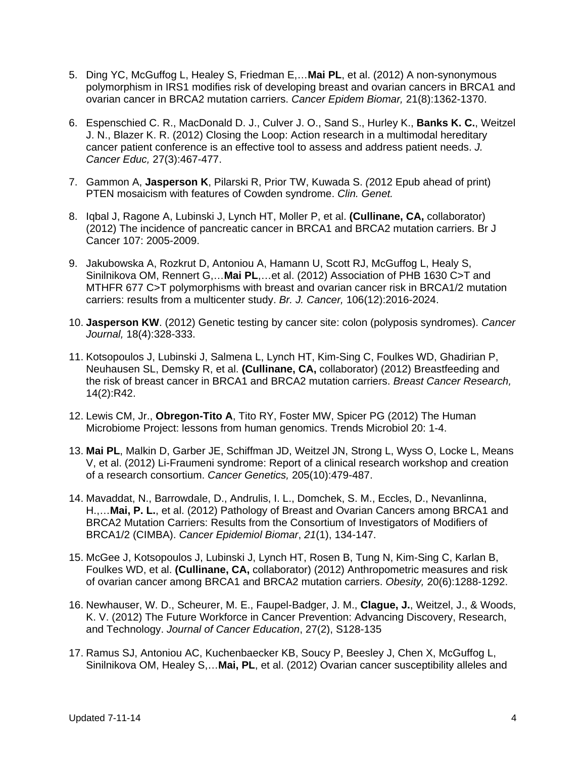- 5. Ding YC, McGuffog L, Healey S, Friedman E,…**Mai PL**, et al. (2012) A non-synonymous polymorphism in IRS1 modifies risk of developing breast and ovarian cancers in BRCA1 and ovarian cancer in BRCA2 mutation carriers. *Cancer Epidem Biomar,* 21(8):1362-1370.
- 6. Espenschied C. R., MacDonald D. J., Culver J. O., Sand S., Hurley K., **Banks K. C.**, Weitzel J. N., Blazer K. R. (2012) Closing the Loop: Action research in a multimodal hereditary cancer patient conference is an effective tool to assess and address patient needs. *J. Cancer Educ,* 27(3):467-477.
- 7. Gammon A, **Jasperson K**, Pilarski R, Prior TW, Kuwada S. *(*2012 Epub ahead of print) PTEN mosaicism with features of Cowden syndrome. *Clin. Genet.*
- 8. Iqbal J, Ragone A, Lubinski J, Lynch HT, Moller P, et al. **(Cullinane, CA,** collaborator) (2012) The incidence of pancreatic cancer in BRCA1 and BRCA2 mutation carriers. Br J Cancer 107: 2005-2009.
- 9. Jakubowska A, Rozkrut D, Antoniou A, Hamann U, Scott RJ, McGuffog L, Healy S, Sinilnikova OM, Rennert G,…**Mai PL**,…et al. (2012) Association of PHB 1630 C>T and MTHFR 677 C>T polymorphisms with breast and ovarian cancer risk in BRCA1/2 mutation carriers: results from a multicenter study. *Br. J. Cancer,* 106(12):2016-2024.
- 10. **Jasperson KW**. (2012) Genetic testing by cancer site: colon (polyposis syndromes). *Cancer Journal,* 18(4):328-333.
- 11. Kotsopoulos J, Lubinski J, Salmena L, Lynch HT, Kim-Sing C, Foulkes WD, Ghadirian P, Neuhausen SL, Demsky R, et al. **(Cullinane, CA,** collaborator) (2012) Breastfeeding and the risk of breast cancer in BRCA1 and BRCA2 mutation carriers. *Breast Cancer Research,*  14(2):R42.
- 12. Lewis CM, Jr., **Obregon-Tito A**, Tito RY, Foster MW, Spicer PG (2012) The Human Microbiome Project: lessons from human genomics. Trends Microbiol 20: 1-4.
- 13. **Mai PL**, Malkin D, Garber JE, Schiffman JD, Weitzel JN, Strong L, Wyss O, Locke L, Means V, et al. (2012) Li-Fraumeni syndrome: Report of a clinical research workshop and creation of a research consortium. *Cancer Genetics,* 205(10):479-487.
- 14. Mavaddat, N., Barrowdale, D., Andrulis, I. L., Domchek, S. M., Eccles, D., Nevanlinna, H.,…**Mai, P. L.**, et al. (2012) Pathology of Breast and Ovarian Cancers among BRCA1 and BRCA2 Mutation Carriers: Results from the Consortium of Investigators of Modifiers of BRCA1/2 (CIMBA). *Cancer Epidemiol Biomar*, *21*(1), 134-147.
- 15. McGee J, Kotsopoulos J, Lubinski J, Lynch HT, Rosen B, Tung N, Kim-Sing C, Karlan B, Foulkes WD, et al. **(Cullinane, CA,** collaborator) (2012) Anthropometric measures and risk of ovarian cancer among BRCA1 and BRCA2 mutation carriers. *Obesity,* 20(6):1288-1292.
- 16. Newhauser, W. D., Scheurer, M. E., Faupel-Badger, J. M., **Clague, J.**, Weitzel, J., & Woods, K. V. (2012) The Future Workforce in Cancer Prevention: Advancing Discovery, Research, and Technology. *Journal of Cancer Education*, 27(2), S128-135
- 17. Ramus SJ, Antoniou AC, Kuchenbaecker KB, Soucy P, Beesley J, Chen X, McGuffog L, Sinilnikova OM, Healey S,…**Mai, PL**, et al. (2012) Ovarian cancer susceptibility alleles and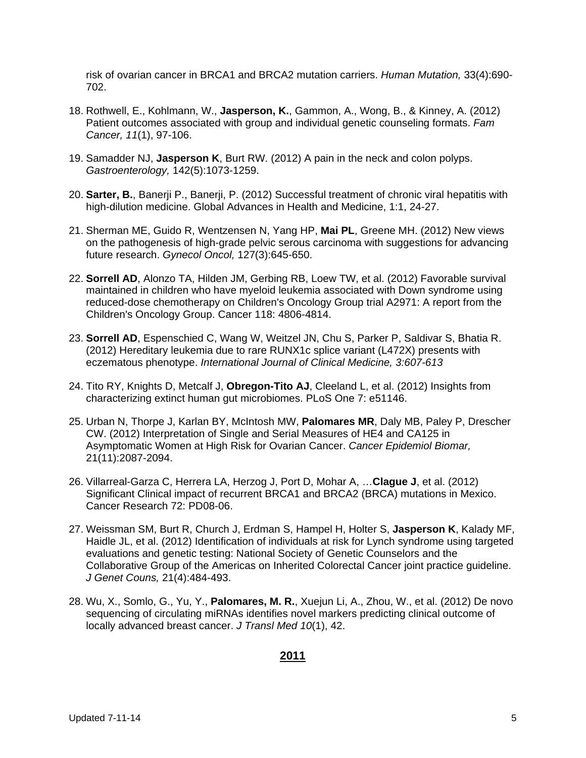risk of ovarian cancer in BRCA1 and BRCA2 mutation carriers. *Human Mutation,* 33(4):690- 702.

- 18. Rothwell, E., Kohlmann, W., **Jasperson, K.**, Gammon, A., Wong, B., & Kinney, A. (2012) Patient outcomes associated with group and individual genetic counseling formats. *Fam Cancer, 11*(1), 97-106.
- 19. Samadder NJ, **Jasperson K**, Burt RW. (2012) A pain in the neck and colon polyps. *Gastroenterology,* 142(5):1073-1259.
- 20. **Sarter, B.**, Banerji P., Banerji, P. (2012) Successful treatment of chronic viral hepatitis with high-dilution medicine. Global Advances in Health and Medicine, 1:1, 24-27.
- 21. Sherman ME, Guido R, Wentzensen N, Yang HP, **Mai PL**, Greene MH. (2012) New views on the pathogenesis of high-grade pelvic serous carcinoma with suggestions for advancing future research. *Gynecol Oncol,* 127(3):645-650.
- 22. **Sorrell AD**, Alonzo TA, Hilden JM, Gerbing RB, Loew TW, et al. (2012) Favorable survival maintained in children who have myeloid leukemia associated with Down syndrome using reduced-dose chemotherapy on Children's Oncology Group trial A2971: A report from the Children's Oncology Group. Cancer 118: 4806-4814.
- 23. **Sorrell AD**, Espenschied C, Wang W, Weitzel JN, Chu S, Parker P, Saldivar S, Bhatia R. (2012) Hereditary leukemia due to rare RUNX1c splice variant (L472X) presents with eczematous phenotype. *International Journal of Clinical Medicine, 3:607-613*
- 24. Tito RY, Knights D, Metcalf J, **Obregon-Tito AJ**, Cleeland L, et al. (2012) Insights from characterizing extinct human gut microbiomes. PLoS One 7: e51146.
- 25. Urban N, Thorpe J, Karlan BY, McIntosh MW, **Palomares MR**, Daly MB, Paley P, Drescher CW. (2012) Interpretation of Single and Serial Measures of HE4 and CA125 in Asymptomatic Women at High Risk for Ovarian Cancer. *Cancer Epidemiol Biomar,*  21(11):2087-2094.
- 26. Villarreal-Garza C, Herrera LA, Herzog J, Port D, Mohar A, …**Clague J**, et al. (2012) Significant Clinical impact of recurrent BRCA1 and BRCA2 (BRCA) mutations in Mexico. Cancer Research 72: PD08-06.
- 27. Weissman SM, Burt R, Church J, Erdman S, Hampel H, Holter S, **Jasperson K**, Kalady MF, Haidle JL, et al. (2012) Identification of individuals at risk for Lynch syndrome using targeted evaluations and genetic testing: National Society of Genetic Counselors and the Collaborative Group of the Americas on Inherited Colorectal Cancer joint practice guideline. *J Genet Couns,* 21(4):484-493.
- 28. Wu, X., Somlo, G., Yu, Y., **Palomares, M. R.**, Xuejun Li, A., Zhou, W., et al. (2012) De novo sequencing of circulating miRNAs identifies novel markers predicting clinical outcome of locally advanced breast cancer. *J Transl Med 10*(1), 42.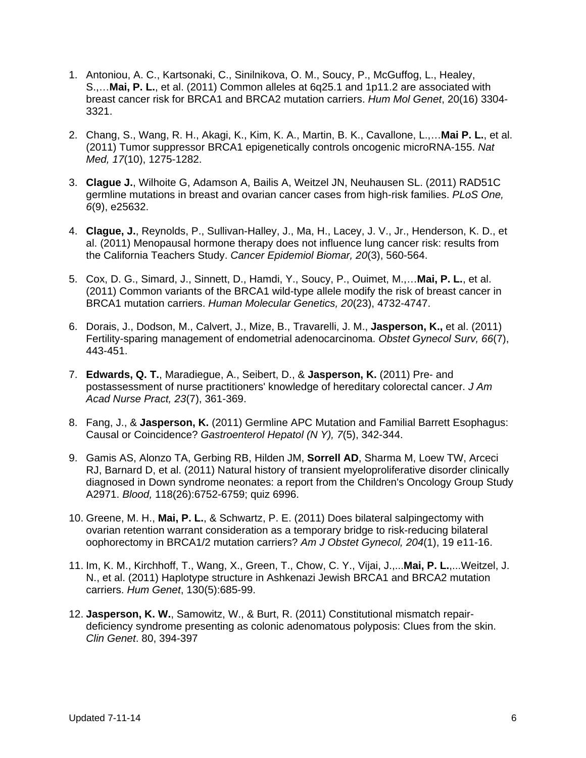- 1. Antoniou, A. C., Kartsonaki, C., Sinilnikova, O. M., Soucy, P., McGuffog, L., Healey, S.,…**Mai, P. L.**, et al. (2011) Common alleles at 6q25.1 and 1p11.2 are associated with breast cancer risk for BRCA1 and BRCA2 mutation carriers. *Hum Mol Genet*, 20(16) 3304- 3321.
- 2. Chang, S., Wang, R. H., Akagi, K., Kim, K. A., Martin, B. K., Cavallone, L.,…**Mai P. L.**, et al. (2011) Tumor suppressor BRCA1 epigenetically controls oncogenic microRNA-155. *Nat Med, 17*(10), 1275-1282.
- 3. **Clague J.**, Wilhoite G, Adamson A, Bailis A, Weitzel JN, Neuhausen SL. (2011) RAD51C germline mutations in breast and ovarian cancer cases from high-risk families. *PLoS One, 6*(9), e25632.
- 4. **Clague, J.**, Reynolds, P., Sullivan-Halley, J., Ma, H., Lacey, J. V., Jr., Henderson, K. D., et al. (2011) Menopausal hormone therapy does not influence lung cancer risk: results from the California Teachers Study. *Cancer Epidemiol Biomar, 20*(3), 560-564.
- 5. Cox, D. G., Simard, J., Sinnett, D., Hamdi, Y., Soucy, P., Ouimet, M.,…**Mai, P. L.**, et al. (2011) Common variants of the BRCA1 wild-type allele modify the risk of breast cancer in BRCA1 mutation carriers. *Human Molecular Genetics, 20*(23), 4732-4747.
- 6. Dorais, J., Dodson, M., Calvert, J., Mize, B., Travarelli, J. M., **Jasperson, K.,** et al. (2011) Fertility-sparing management of endometrial adenocarcinoma. *Obstet Gynecol Surv, 66*(7), 443-451.
- 7. **Edwards, Q. T.**, Maradiegue, A., Seibert, D., & **Jasperson, K.** (2011) Pre- and postassessment of nurse practitioners' knowledge of hereditary colorectal cancer. *J Am Acad Nurse Pract, 23*(7), 361-369.
- 8. Fang, J., & **Jasperson, K.** (2011) Germline APC Mutation and Familial Barrett Esophagus: Causal or Coincidence? *Gastroenterol Hepatol (N Y), 7*(5), 342-344.
- 9. Gamis AS, Alonzo TA, Gerbing RB, Hilden JM, **Sorrell AD**, Sharma M, Loew TW, Arceci RJ, Barnard D, et al. (2011) Natural history of transient myeloproliferative disorder clinically diagnosed in Down syndrome neonates: a report from the Children's Oncology Group Study A2971. *Blood,* 118(26):6752-6759; quiz 6996.
- 10. Greene, M. H., **Mai, P. L.**, & Schwartz, P. E. (2011) Does bilateral salpingectomy with ovarian retention warrant consideration as a temporary bridge to risk-reducing bilateral oophorectomy in BRCA1/2 mutation carriers? *Am J Obstet Gynecol, 204*(1), 19 e11-16.
- 11. Im, K. M., Kirchhoff, T., Wang, X., Green, T., Chow, C. Y., Vijai, J.,...**Mai, P. L.**,...Weitzel, J. N., et al. (2011) Haplotype structure in Ashkenazi Jewish BRCA1 and BRCA2 mutation carriers. *Hum Genet*, 130(5):685-99.
- 12. **Jasperson, K. W.**, Samowitz, W., & Burt, R. (2011) Constitutional mismatch repairdeficiency syndrome presenting as colonic adenomatous polyposis: Clues from the skin. *Clin Genet*. 80, 394-397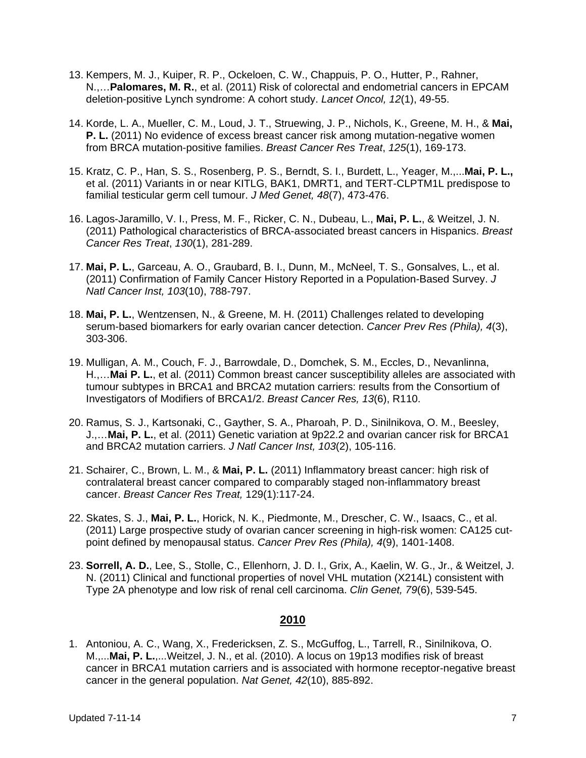- 13. Kempers, M. J., Kuiper, R. P., Ockeloen, C. W., Chappuis, P. O., Hutter, P., Rahner, N.,…**Palomares, M. R.**, et al. (2011) Risk of colorectal and endometrial cancers in EPCAM deletion-positive Lynch syndrome: A cohort study. *Lancet Oncol, 12*(1), 49-55.
- 14. Korde, L. A., Mueller, C. M., Loud, J. T., Struewing, J. P., Nichols, K., Greene, M. H., & **Mai, P. L.** (2011) No evidence of excess breast cancer risk among mutation-negative women from BRCA mutation-positive families. *Breast Cancer Res Treat*, *125*(1), 169-173.
- 15. Kratz, C. P., Han, S. S., Rosenberg, P. S., Berndt, S. I., Burdett, L., Yeager, M.,...**Mai, P. L.,** et al. (2011) Variants in or near KITLG, BAK1, DMRT1, and TERT-CLPTM1L predispose to familial testicular germ cell tumour. *J Med Genet, 48*(7), 473-476.
- 16. Lagos-Jaramillo, V. I., Press, M. F., Ricker, C. N., Dubeau, L., **Mai, P. L.**, & Weitzel, J. N. (2011) Pathological characteristics of BRCA-associated breast cancers in Hispanics. *Breast Cancer Res Treat*, *130*(1), 281-289.
- 17. **Mai, P. L.**, Garceau, A. O., Graubard, B. I., Dunn, M., McNeel, T. S., Gonsalves, L., et al. (2011) Confirmation of Family Cancer History Reported in a Population-Based Survey. *J Natl Cancer Inst, 103*(10), 788-797.
- 18. **Mai, P. L.**, Wentzensen, N., & Greene, M. H. (2011) Challenges related to developing serum-based biomarkers for early ovarian cancer detection. *Cancer Prev Res (Phila), 4*(3), 303-306.
- 19. Mulligan, A. M., Couch, F. J., Barrowdale, D., Domchek, S. M., Eccles, D., Nevanlinna, H.,…**Mai P. L.**, et al. (2011) Common breast cancer susceptibility alleles are associated with tumour subtypes in BRCA1 and BRCA2 mutation carriers: results from the Consortium of Investigators of Modifiers of BRCA1/2. *Breast Cancer Res, 13*(6), R110.
- 20. Ramus, S. J., Kartsonaki, C., Gayther, S. A., Pharoah, P. D., Sinilnikova, O. M., Beesley, J.,…**Mai, P. L.**, et al. (2011) Genetic variation at 9p22.2 and ovarian cancer risk for BRCA1 and BRCA2 mutation carriers. *J Natl Cancer Inst, 103*(2), 105-116.
- 21. Schairer, C., Brown, L. M., & **Mai, P. L.** (2011) Inflammatory breast cancer: high risk of contralateral breast cancer compared to comparably staged non-inflammatory breast cancer. *Breast Cancer Res Treat,* 129(1):117-24.
- 22. Skates, S. J., **Mai, P. L.**, Horick, N. K., Piedmonte, M., Drescher, C. W., Isaacs, C., et al. (2011) Large prospective study of ovarian cancer screening in high-risk women: CA125 cutpoint defined by menopausal status. *Cancer Prev Res (Phila), 4*(9), 1401-1408.
- 23. **Sorrell, A. D.**, Lee, S., Stolle, C., Ellenhorn, J. D. I., Grix, A., Kaelin, W. G., Jr., & Weitzel, J. N. (2011) Clinical and functional properties of novel VHL mutation (X214L) consistent with Type 2A phenotype and low risk of renal cell carcinoma. *Clin Genet, 79*(6), 539-545.

1. Antoniou, A. C., Wang, X., Fredericksen, Z. S., McGuffog, L., Tarrell, R., Sinilnikova, O. M.,...**Mai, P. L.**,...Weitzel, J. N., et al. (2010). A locus on 19p13 modifies risk of breast cancer in BRCA1 mutation carriers and is associated with hormone receptor-negative breast cancer in the general population. *Nat Genet, 42*(10), 885-892.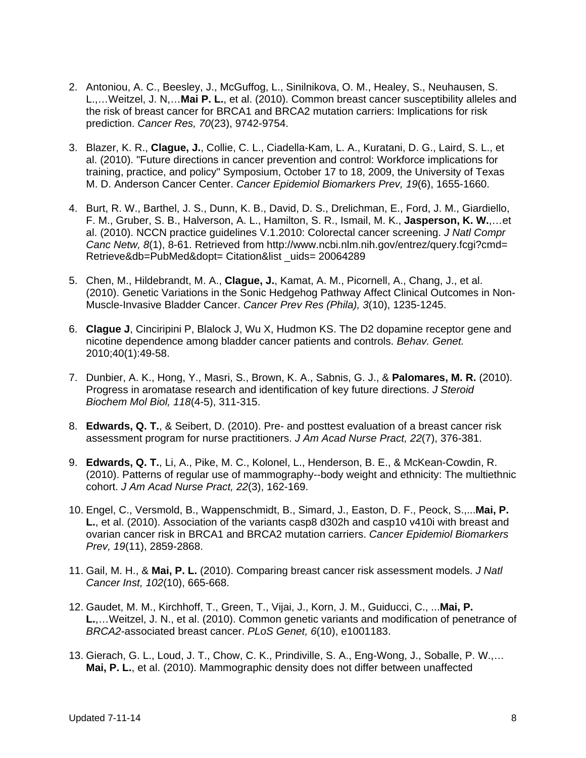- 2. Antoniou, A. C., Beesley, J., McGuffog, L., Sinilnikova, O. M., Healey, S., Neuhausen, S. L.,…Weitzel, J. N,…**Mai P. L.**, et al. (2010). Common breast cancer susceptibility alleles and the risk of breast cancer for BRCA1 and BRCA2 mutation carriers: Implications for risk prediction. *Cancer Res, 70*(23), 9742-9754.
- 3. Blazer, K. R., **Clague, J.**, Collie, C. L., Ciadella-Kam, L. A., Kuratani, D. G., Laird, S. L., et al. (2010). "Future directions in cancer prevention and control: Workforce implications for training, practice, and policy" Symposium, October 17 to 18, 2009, the University of Texas M. D. Anderson Cancer Center. *Cancer Epidemiol Biomarkers Prev, 19*(6), 1655-1660.
- 4. Burt, R. W., Barthel, J. S., Dunn, K. B., David, D. S., Drelichman, E., Ford, J. M., Giardiello, F. M., Gruber, S. B., Halverson, A. L., Hamilton, S. R., Ismail, M. K., **Jasperson, K. W.**,…et al. (2010). NCCN practice guidelines V.1.2010: Colorectal cancer screening. *J Natl Compr Canc Netw, 8*(1), 8-61. Retrieved from http://www.ncbi.nlm.nih.gov/entrez/query.fcgi?cmd= Retrieve&db=PubMed&dopt= Citation&list \_uids= 20064289
- 5. Chen, M., Hildebrandt, M. A., **Clague, J.**, Kamat, A. M., Picornell, A., Chang, J., et al. (2010). Genetic Variations in the Sonic Hedgehog Pathway Affect Clinical Outcomes in Non-Muscle-Invasive Bladder Cancer. *Cancer Prev Res (Phila), 3*(10), 1235-1245.
- 6. **Clague J**, Cinciripini P, Blalock J, Wu X, Hudmon KS. The D2 dopamine receptor gene and nicotine dependence among bladder cancer patients and controls. *Behav. Genet.*  2010;40(1):49-58.
- 7. Dunbier, A. K., Hong, Y., Masri, S., Brown, K. A., Sabnis, G. J., & **Palomares, M. R.** (2010). Progress in aromatase research and identification of key future directions. *J Steroid Biochem Mol Biol, 118*(4-5), 311-315.
- 8. **Edwards, Q. T.**, & Seibert, D. (2010). Pre- and posttest evaluation of a breast cancer risk assessment program for nurse practitioners. *J Am Acad Nurse Pract, 22*(7), 376-381.
- 9. **Edwards, Q. T.**, Li, A., Pike, M. C., Kolonel, L., Henderson, B. E., & McKean-Cowdin, R. (2010). Patterns of regular use of mammography--body weight and ethnicity: The multiethnic cohort. *J Am Acad Nurse Pract, 22*(3), 162-169.
- 10. Engel, C., Versmold, B., Wappenschmidt, B., Simard, J., Easton, D. F., Peock, S.,...**Mai, P. L.**, et al. (2010). Association of the variants casp8 d302h and casp10 v410i with breast and ovarian cancer risk in BRCA1 and BRCA2 mutation carriers. *Cancer Epidemiol Biomarkers Prev, 19*(11), 2859-2868.
- 11. Gail, M. H., & **Mai, P. L.** (2010). Comparing breast cancer risk assessment models. *J Natl Cancer Inst, 102*(10), 665-668.
- 12. Gaudet, M. M., Kirchhoff, T., Green, T., Vijai, J., Korn, J. M., Guiducci, C., ...**Mai, P. L.**,…Weitzel, J. N., et al. (2010). Common genetic variants and modification of penetrance of *BRCA2*-associated breast cancer. *PLoS Genet, 6*(10), e1001183.
- 13. Gierach, G. L., Loud, J. T., Chow, C. K., Prindiville, S. A., Eng-Wong, J., Soballe, P. W.,… **Mai, P. L.**, et al. (2010). Mammographic density does not differ between unaffected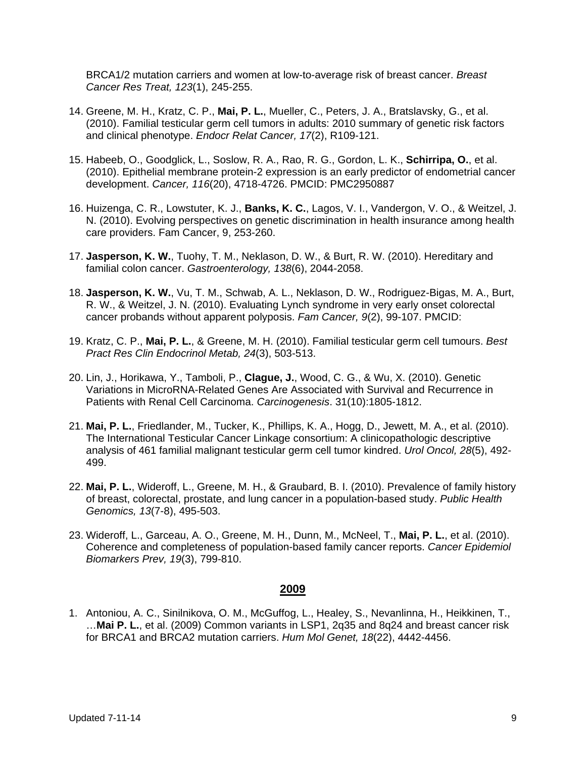BRCA1/2 mutation carriers and women at low-to-average risk of breast cancer. *Breast Cancer Res Treat, 123*(1), 245-255.

- 14. Greene, M. H., Kratz, C. P., **Mai, P. L.**, Mueller, C., Peters, J. A., Bratslavsky, G., et al. (2010). Familial testicular germ cell tumors in adults: 2010 summary of genetic risk factors and clinical phenotype. *Endocr Relat Cancer, 17*(2), R109-121.
- 15. Habeeb, O., Goodglick, L., Soslow, R. A., Rao, R. G., Gordon, L. K., **Schirripa, O.**, et al. (2010). Epithelial membrane protein-2 expression is an early predictor of endometrial cancer development. *Cancer, 116*(20), 4718-4726. PMCID: PMC2950887
- 16. Huizenga, C. R., Lowstuter, K. J., **Banks, K. C.**, Lagos, V. I., Vandergon, V. O., & Weitzel, J. N. (2010). Evolving perspectives on genetic discrimination in health insurance among health care providers. Fam Cancer, 9, 253-260.
- 17. **Jasperson, K. W.**, Tuohy, T. M., Neklason, D. W., & Burt, R. W. (2010). Hereditary and familial colon cancer. *Gastroenterology, 138*(6), 2044-2058.
- 18. **Jasperson, K. W.**, Vu, T. M., Schwab, A. L., Neklason, D. W., Rodriguez-Bigas, M. A., Burt, R. W., & Weitzel, J. N. (2010). Evaluating Lynch syndrome in very early onset colorectal cancer probands without apparent polyposis. *Fam Cancer, 9*(2), 99-107. PMCID:
- 19. Kratz, C. P., **Mai, P. L.**, & Greene, M. H. (2010). Familial testicular germ cell tumours. *Best Pract Res Clin Endocrinol Metab, 24*(3), 503-513.
- 20. Lin, J., Horikawa, Y., Tamboli, P., **Clague, J.**, Wood, C. G., & Wu, X. (2010). Genetic Variations in MicroRNA-Related Genes Are Associated with Survival and Recurrence in Patients with Renal Cell Carcinoma. *Carcinogenesis*. 31(10):1805-1812.
- 21. **Mai, P. L.**, Friedlander, M., Tucker, K., Phillips, K. A., Hogg, D., Jewett, M. A., et al. (2010). The International Testicular Cancer Linkage consortium: A clinicopathologic descriptive analysis of 461 familial malignant testicular germ cell tumor kindred. *Urol Oncol, 28*(5), 492- 499.
- 22. **Mai, P. L.**, Wideroff, L., Greene, M. H., & Graubard, B. I. (2010). Prevalence of family history of breast, colorectal, prostate, and lung cancer in a population-based study. *Public Health Genomics, 13*(7-8), 495-503.
- 23. Wideroff, L., Garceau, A. O., Greene, M. H., Dunn, M., McNeel, T., **Mai, P. L.**, et al. (2010). Coherence and completeness of population-based family cancer reports. *Cancer Epidemiol Biomarkers Prev, 19*(3), 799-810.

#### **2009**

1. Antoniou, A. C., Sinilnikova, O. M., McGuffog, L., Healey, S., Nevanlinna, H., Heikkinen, T., …**Mai P. L.**, et al. (2009) Common variants in LSP1, 2q35 and 8q24 and breast cancer risk for BRCA1 and BRCA2 mutation carriers. *Hum Mol Genet, 18*(22), 4442-4456.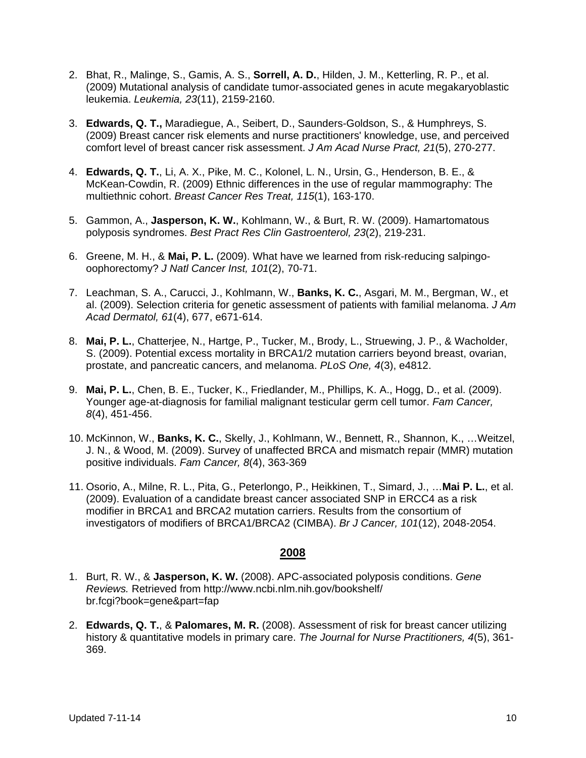- 2. Bhat, R., Malinge, S., Gamis, A. S., **Sorrell, A. D.**, Hilden, J. M., Ketterling, R. P., et al. (2009) Mutational analysis of candidate tumor-associated genes in acute megakaryoblastic leukemia. *Leukemia, 23*(11), 2159-2160.
- 3. **Edwards, Q. T.,** Maradiegue, A., Seibert, D., Saunders-Goldson, S., & Humphreys, S. (2009) Breast cancer risk elements and nurse practitioners' knowledge, use, and perceived comfort level of breast cancer risk assessment. *J Am Acad Nurse Pract, 21*(5), 270-277.
- 4. **Edwards, Q. T.**, Li, A. X., Pike, M. C., Kolonel, L. N., Ursin, G., Henderson, B. E., & McKean-Cowdin, R. (2009) Ethnic differences in the use of regular mammography: The multiethnic cohort. *Breast Cancer Res Treat, 115*(1), 163-170.
- 5. Gammon, A., **Jasperson, K. W.**, Kohlmann, W., & Burt, R. W. (2009). Hamartomatous polyposis syndromes. *Best Pract Res Clin Gastroenterol, 23*(2), 219-231.
- 6. Greene, M. H., & **Mai, P. L.** (2009). What have we learned from risk-reducing salpingooophorectomy? *J Natl Cancer Inst, 101*(2), 70-71.
- 7. Leachman, S. A., Carucci, J., Kohlmann, W., **Banks, K. C.**, Asgari, M. M., Bergman, W., et al. (2009). Selection criteria for genetic assessment of patients with familial melanoma. *J Am Acad Dermatol, 61*(4), 677, e671-614.
- 8. **Mai, P. L.**, Chatterjee, N., Hartge, P., Tucker, M., Brody, L., Struewing, J. P., & Wacholder, S. (2009). Potential excess mortality in BRCA1/2 mutation carriers beyond breast, ovarian, prostate, and pancreatic cancers, and melanoma. *PLoS One, 4*(3), e4812.
- 9. **Mai, P. L.**, Chen, B. E., Tucker, K., Friedlander, M., Phillips, K. A., Hogg, D., et al. (2009). Younger age-at-diagnosis for familial malignant testicular germ cell tumor. *Fam Cancer, 8*(4), 451-456.
- 10. McKinnon, W., **Banks, K. C.**, Skelly, J., Kohlmann, W., Bennett, R., Shannon, K., …Weitzel, J. N., & Wood, M. (2009). Survey of unaffected BRCA and mismatch repair (MMR) mutation positive individuals. *Fam Cancer, 8*(4), 363-369
- 11. Osorio, A., Milne, R. L., Pita, G., Peterlongo, P., Heikkinen, T., Simard, J., …**Mai P. L.**, et al. (2009). Evaluation of a candidate breast cancer associated SNP in ERCC4 as a risk modifier in BRCA1 and BRCA2 mutation carriers. Results from the consortium of investigators of modifiers of BRCA1/BRCA2 (CIMBA). *Br J Cancer, 101*(12), 2048-2054.

- 1. Burt, R. W., & **Jasperson, K. W.** (2008). APC-associated polyposis conditions. *Gene Reviews.* Retrieved from http://www.ncbi.nlm.nih.gov/bookshelf/ br.fcgi?book=gene&part=fap
- 2. **Edwards, Q. T.**, & **Palomares, M. R.** (2008). Assessment of risk for breast cancer utilizing history & quantitative models in primary care. *The Journal for Nurse Practitioners, 4*(5), 361- 369.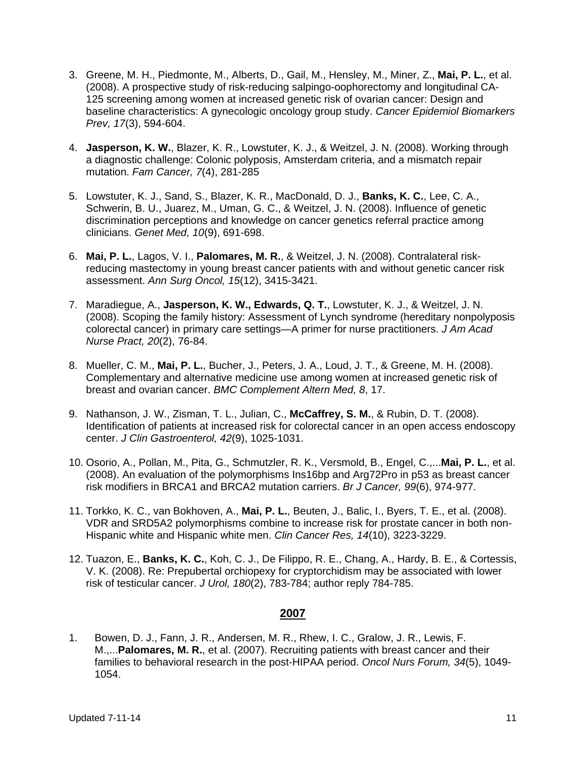- 3. Greene, M. H., Piedmonte, M., Alberts, D., Gail, M., Hensley, M., Miner, Z., **Mai, P. L.**, et al. (2008). A prospective study of risk-reducing salpingo-oophorectomy and longitudinal CA-125 screening among women at increased genetic risk of ovarian cancer: Design and baseline characteristics: A gynecologic oncology group study. *Cancer Epidemiol Biomarkers Prev, 17*(3), 594-604.
- 4. **Jasperson, K. W.**, Blazer, K. R., Lowstuter, K. J., & Weitzel, J. N. (2008). Working through a diagnostic challenge: Colonic polyposis, Amsterdam criteria, and a mismatch repair mutation. *Fam Cancer, 7*(4), 281-285
- 5. Lowstuter, K. J., Sand, S., Blazer, K. R., MacDonald, D. J., **Banks, K. C.**, Lee, C. A., Schwerin, B. U., Juarez, M., Uman, G. C., & Weitzel, J. N. (2008). Influence of genetic discrimination perceptions and knowledge on cancer genetics referral practice among clinicians. *Genet Med, 10*(9), 691-698.
- 6. **Mai, P. L.**, Lagos, V. I., **Palomares, M. R.**, & Weitzel, J. N. (2008). Contralateral riskreducing mastectomy in young breast cancer patients with and without genetic cancer risk assessment. *Ann Surg Oncol, 15*(12), 3415-3421.
- 7. Maradiegue, A., **Jasperson, K. W., Edwards, Q. T.**, Lowstuter, K. J., & Weitzel, J. N. (2008). Scoping the family history: Assessment of Lynch syndrome (hereditary nonpolyposis colorectal cancer) in primary care settings—A primer for nurse practitioners. *J Am Acad Nurse Pract, 20*(2), 76-84.
- 8. Mueller, C. M., **Mai, P. L.**, Bucher, J., Peters, J. A., Loud, J. T., & Greene, M. H. (2008). Complementary and alternative medicine use among women at increased genetic risk of breast and ovarian cancer. *BMC Complement Altern Med, 8*, 17.
- 9. Nathanson, J. W., Zisman, T. L., Julian, C., **McCaffrey, S. M.**, & Rubin, D. T. (2008). Identification of patients at increased risk for colorectal cancer in an open access endoscopy center. *J Clin Gastroenterol, 42*(9), 1025-1031.
- 10. Osorio, A., Pollan, M., Pita, G., Schmutzler, R. K., Versmold, B., Engel, C.,...**Mai, P. L.**, et al. (2008). An evaluation of the polymorphisms Ins16bp and Arg72Pro in p53 as breast cancer risk modifiers in BRCA1 and BRCA2 mutation carriers. *Br J Cancer, 99*(6), 974-977.
- 11. Torkko, K. C., van Bokhoven, A., **Mai, P. L.**, Beuten, J., Balic, I., Byers, T. E., et al. (2008). VDR and SRD5A2 polymorphisms combine to increase risk for prostate cancer in both non-Hispanic white and Hispanic white men. *Clin Cancer Res, 14*(10), 3223-3229.
- 12. Tuazon, E., **Banks, K. C.**, Koh, C. J., De Filippo, R. E., Chang, A., Hardy, B. E., & Cortessis, V. K. (2008). Re: Prepubertal orchiopexy for cryptorchidism may be associated with lower risk of testicular cancer. *J Urol, 180*(2), 783-784; author reply 784-785.

1. Bowen, D. J., Fann, J. R., Andersen, M. R., Rhew, I. C., Gralow, J. R., Lewis, F. M.,...**Palomares, M. R.**, et al. (2007). Recruiting patients with breast cancer and their families to behavioral research in the post-HIPAA period. *Oncol Nurs Forum, 34*(5), 1049- 1054.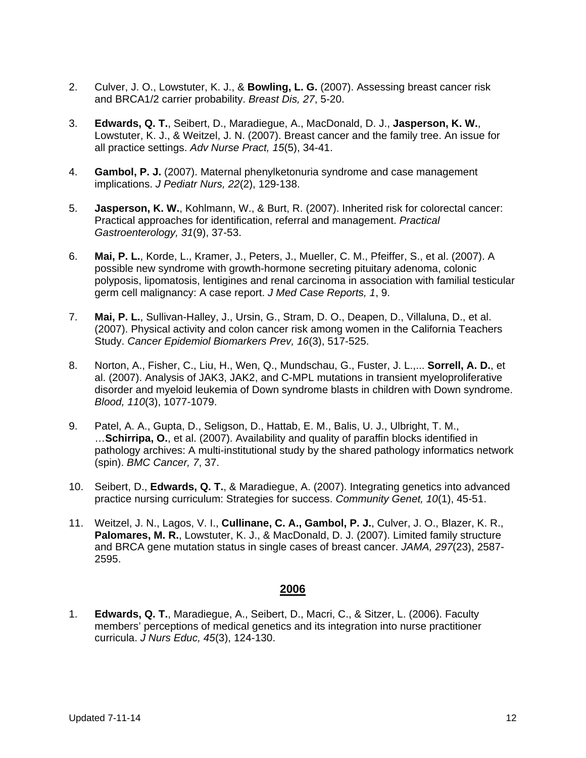- 2. Culver, J. O., Lowstuter, K. J., & **Bowling, L. G.** (2007). Assessing breast cancer risk and BRCA1/2 carrier probability. *Breast Dis, 27*, 5-20.
- 3. **Edwards, Q. T.**, Seibert, D., Maradiegue, A., MacDonald, D. J., **Jasperson, K. W.**, Lowstuter, K. J., & Weitzel, J. N. (2007). Breast cancer and the family tree. An issue for all practice settings. *Adv Nurse Pract, 15*(5), 34-41.
- 4. **Gambol, P. J.** (2007). Maternal phenylketonuria syndrome and case management implications. *J Pediatr Nurs, 22*(2), 129-138.
- 5. **Jasperson, K. W.**, Kohlmann, W., & Burt, R. (2007). Inherited risk for colorectal cancer: Practical approaches for identification, referral and management. *Practical Gastroenterology, 31*(9), 37-53.
- 6. **Mai, P. L.**, Korde, L., Kramer, J., Peters, J., Mueller, C. M., Pfeiffer, S., et al. (2007). A possible new syndrome with growth-hormone secreting pituitary adenoma, colonic polyposis, lipomatosis, lentigines and renal carcinoma in association with familial testicular germ cell malignancy: A case report. *J Med Case Reports, 1*, 9.
- 7. **Mai, P. L.**, Sullivan-Halley, J., Ursin, G., Stram, D. O., Deapen, D., Villaluna, D., et al. (2007). Physical activity and colon cancer risk among women in the California Teachers Study. *Cancer Epidemiol Biomarkers Prev, 16*(3), 517-525.
- 8. Norton, A., Fisher, C., Liu, H., Wen, Q., Mundschau, G., Fuster, J. L.,... **Sorrell, A. D.**, et al. (2007). Analysis of JAK3, JAK2, and C-MPL mutations in transient myeloproliferative disorder and myeloid leukemia of Down syndrome blasts in children with Down syndrome. *Blood, 110*(3), 1077-1079.
- 9. Patel, A. A., Gupta, D., Seligson, D., Hattab, E. M., Balis, U. J., Ulbright, T. M., …**Schirripa, O.**, et al. (2007). Availability and quality of paraffin blocks identified in pathology archives: A multi-institutional study by the shared pathology informatics network (spin). *BMC Cancer, 7*, 37.
- 10. Seibert, D., **Edwards, Q. T.**, & Maradiegue, A. (2007). Integrating genetics into advanced practice nursing curriculum: Strategies for success. *Community Genet, 10*(1), 45-51.
- 11. Weitzel, J. N., Lagos, V. I., **Cullinane, C. A., Gambol, P. J.**, Culver, J. O., Blazer, K. R., **Palomares, M. R.**, Lowstuter, K. J., & MacDonald, D. J. (2007). Limited family structure and BRCA gene mutation status in single cases of breast cancer. *JAMA, 297*(23), 2587- 2595.

1. **Edwards, Q. T.**, Maradiegue, A., Seibert, D., Macri, C., & Sitzer, L. (2006). Faculty members' perceptions of medical genetics and its integration into nurse practitioner curricula. *J Nurs Educ, 45*(3), 124-130.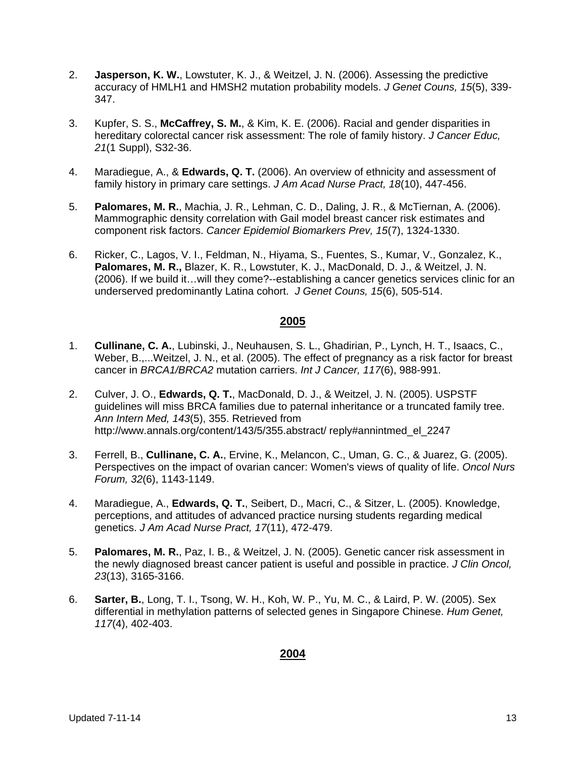- 2. **Jasperson, K. W.**, Lowstuter, K. J., & Weitzel, J. N. (2006). Assessing the predictive accuracy of HMLH1 and HMSH2 mutation probability models. *J Genet Couns, 15*(5), 339- 347.
- 3. Kupfer, S. S., **McCaffrey, S. M.**, & Kim, K. E. (2006). Racial and gender disparities in hereditary colorectal cancer risk assessment: The role of family history. *J Cancer Educ, 21*(1 Suppl), S32-36.
- 4. Maradiegue, A., & **Edwards, Q. T.** (2006). An overview of ethnicity and assessment of family history in primary care settings. *J Am Acad Nurse Pract, 18*(10), 447-456.
- 5. **Palomares, M. R.**, Machia, J. R., Lehman, C. D., Daling, J. R., & McTiernan, A. (2006). Mammographic density correlation with Gail model breast cancer risk estimates and component risk factors. *Cancer Epidemiol Biomarkers Prev, 15*(7), 1324-1330.
- 6. Ricker, C., Lagos, V. I., Feldman, N., Hiyama, S., Fuentes, S., Kumar, V., Gonzalez, K., **Palomares, M. R.,** Blazer, K. R., Lowstuter, K. J., MacDonald, D. J., & Weitzel, J. N. (2006). If we build it…will they come?--establishing a cancer genetics services clinic for an underserved predominantly Latina cohort. *J Genet Couns, 15*(6), 505-514.

- 1. **Cullinane, C. A.**, Lubinski, J., Neuhausen, S. L., Ghadirian, P., Lynch, H. T., Isaacs, C., Weber, B.,...Weitzel, J. N., et al. (2005). The effect of pregnancy as a risk factor for breast cancer in *BRCA1/BRCA2* mutation carriers. *Int J Cancer, 117*(6), 988-991.
- 2. Culver, J. O., **Edwards, Q. T.**, MacDonald, D. J., & Weitzel, J. N. (2005). USPSTF guidelines will miss BRCA families due to paternal inheritance or a truncated family tree. *Ann Intern Med, 143*(5), 355. Retrieved from http://www.annals.org/content/143/5/355.abstract/ reply#annintmed\_el\_2247
- 3. Ferrell, B., **Cullinane, C. A.**, Ervine, K., Melancon, C., Uman, G. C., & Juarez, G. (2005). Perspectives on the impact of ovarian cancer: Women's views of quality of life. *Oncol Nurs Forum, 32*(6), 1143-1149.
- 4. Maradiegue, A., **Edwards, Q. T.**, Seibert, D., Macri, C., & Sitzer, L. (2005). Knowledge, perceptions, and attitudes of advanced practice nursing students regarding medical genetics. *J Am Acad Nurse Pract, 17*(11), 472-479.
- 5. **Palomares, M. R.**, Paz, I. B., & Weitzel, J. N. (2005). Genetic cancer risk assessment in the newly diagnosed breast cancer patient is useful and possible in practice. *J Clin Oncol, 23*(13), 3165-3166.
- 6. **Sarter, B.**, Long, T. I., Tsong, W. H., Koh, W. P., Yu, M. C., & Laird, P. W. (2005). Sex differential in methylation patterns of selected genes in Singapore Chinese. *Hum Genet, 117*(4), 402-403.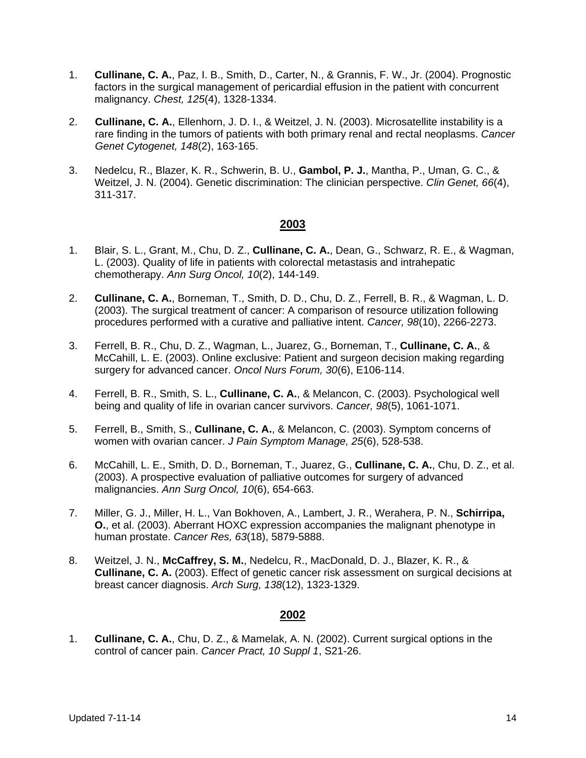- 1. **Cullinane, C. A.**, Paz, I. B., Smith, D., Carter, N., & Grannis, F. W., Jr. (2004). Prognostic factors in the surgical management of pericardial effusion in the patient with concurrent malignancy. *Chest, 125*(4), 1328-1334.
- 2. **Cullinane, C. A.**, Ellenhorn, J. D. I., & Weitzel, J. N. (2003). Microsatellite instability is a rare finding in the tumors of patients with both primary renal and rectal neoplasms. *Cancer Genet Cytogenet, 148*(2), 163-165.
- 3. Nedelcu, R., Blazer, K. R., Schwerin, B. U., **Gambol, P. J.**, Mantha, P., Uman, G. C., & Weitzel, J. N. (2004). Genetic discrimination: The clinician perspective. *Clin Genet, 66*(4), 311-317.

- 1. Blair, S. L., Grant, M., Chu, D. Z., **Cullinane, C. A.**, Dean, G., Schwarz, R. E., & Wagman, L. (2003). Quality of life in patients with colorectal metastasis and intrahepatic chemotherapy. *Ann Surg Oncol, 10*(2), 144-149.
- 2. **Cullinane, C. A.**, Borneman, T., Smith, D. D., Chu, D. Z., Ferrell, B. R., & Wagman, L. D. (2003). The surgical treatment of cancer: A comparison of resource utilization following procedures performed with a curative and palliative intent. *Cancer, 98*(10), 2266-2273.
- 3. Ferrell, B. R., Chu, D. Z., Wagman, L., Juarez, G., Borneman, T., **Cullinane, C. A.**, & McCahill, L. E. (2003). Online exclusive: Patient and surgeon decision making regarding surgery for advanced cancer. *Oncol Nurs Forum, 30*(6), E106-114.
- 4. Ferrell, B. R., Smith, S. L., **Cullinane, C. A.**, & Melancon, C. (2003). Psychological well being and quality of life in ovarian cancer survivors. *Cancer, 98*(5), 1061-1071.
- 5. Ferrell, B., Smith, S., **Cullinane, C. A.**, & Melancon, C. (2003). Symptom concerns of women with ovarian cancer. *J Pain Symptom Manage, 25*(6), 528-538.
- 6. McCahill, L. E., Smith, D. D., Borneman, T., Juarez, G., **Cullinane, C. A.**, Chu, D. Z., et al. (2003). A prospective evaluation of palliative outcomes for surgery of advanced malignancies. *Ann Surg Oncol, 10*(6), 654-663.
- 7. Miller, G. J., Miller, H. L., Van Bokhoven, A., Lambert, J. R., Werahera, P. N., **Schirripa, O.**, et al. (2003). Aberrant HOXC expression accompanies the malignant phenotype in human prostate. *Cancer Res, 63*(18), 5879-5888.
- 8. Weitzel, J. N., **McCaffrey, S. M.**, Nedelcu, R., MacDonald, D. J., Blazer, K. R., & **Cullinane, C. A.** (2003). Effect of genetic cancer risk assessment on surgical decisions at breast cancer diagnosis. *Arch Surg, 138*(12), 1323-1329.

### **2002**

1. **Cullinane, C. A.**, Chu, D. Z., & Mamelak, A. N. (2002). Current surgical options in the control of cancer pain. *Cancer Pract, 10 Suppl 1*, S21-26.